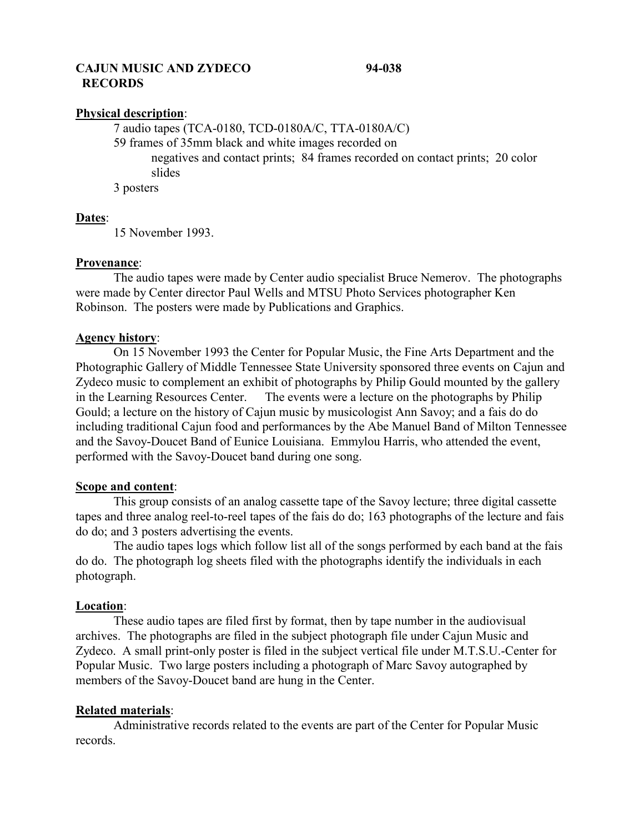# **CAJUN MUSIC AND ZYDECO 94-038 RECORDS**

# **Physical description**:

7 audio tapes (TCA-0180, TCD-0180A/C, TTA-0180A/C) 59 frames of 35mm black and white images recorded on negatives and contact prints; 84 frames recorded on contact prints; 20 color slides 3 posters

# **Dates**:

15 November 1993.

### **Provenance**:

The audio tapes were made by Center audio specialist Bruce Nemerov. The photographs were made by Center director Paul Wells and MTSU Photo Services photographer Ken Robinson. The posters were made by Publications and Graphics.

# **Agency history**:

On 15 November 1993 the Center for Popular Music, the Fine Arts Department and the Photographic Gallery of Middle Tennessee State University sponsored three events on Cajun and Zydeco music to complement an exhibit of photographs by Philip Gould mounted by the gallery in the Learning Resources Center. The events were a lecture on the photographs by Philip Gould; a lecture on the history of Cajun music by musicologist Ann Savoy; and a fais do do including traditional Cajun food and performances by the Abe Manuel Band of Milton Tennessee and the Savoy-Doucet Band of Eunice Louisiana. Emmylou Harris, who attended the event, performed with the Savoy-Doucet band during one song.

# **Scope and content**:

This group consists of an analog cassette tape of the Savoy lecture; three digital cassette tapes and three analog reel-to-reel tapes of the fais do do; 163 photographs of the lecture and fais do do; and 3 posters advertising the events.

The audio tapes logs which follow list all of the songs performed by each band at the fais do do. The photograph log sheets filed with the photographs identify the individuals in each photograph.

#### **Location**:

These audio tapes are filed first by format, then by tape number in the audiovisual archives. The photographs are filed in the subject photograph file under Cajun Music and Zydeco. A small print-only poster is filed in the subject vertical file under M.T.S.U.-Center for Popular Music. Two large posters including a photograph of Marc Savoy autographed by members of the Savoy-Doucet band are hung in the Center.

# **Related materials**:

Administrative records related to the events are part of the Center for Popular Music records.